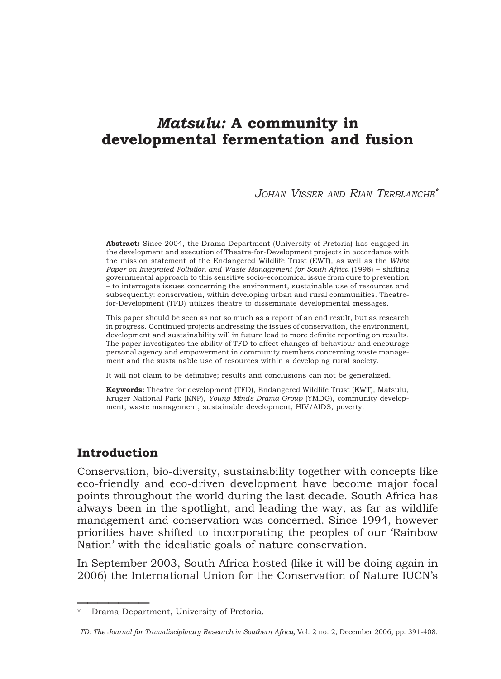# Matsulu: A community in developmental fermentation and fusion

#### JOHAN VISSER AND RIAN TERBLANCHE\*

Abstract: Since 2004, the Drama Department (University of Pretoria) has engaged in the development and execution of Theatre-for-Development projects in accordance with the mission statement of the Endangered Wildlife Trust (EWT), as well as the White Paper on Integrated Pollution and Waste Management for South Africa (1998) – shifting governmental approach to this sensitive socio-economical issue from cure to prevention – to interrogate issues concerning the environment, sustainable use of resources and subsequently: conservation, within developing urban and rural communities. Theatrefor-Development (TFD) utilizes theatre to disseminate developmental messages.

This paper should be seen as not so much as a report of an end result, but as research in progress. Continued projects addressing the issues of conservation, the environment, development and sustainability will in future lead to more definite reporting on results. The paper investigates the ability of TFD to affect changes of behaviour and encourage personal agency and empowerment in community members concerning waste management and the sustainable use of resources within a developing rural society.

It will not claim to be definitive; results and conclusions can not be generalized.

Keywords: Theatre for development (TFD), Endangered Wildlife Trust (EWT), Matsulu, Kruger National Park (KNP), Young Minds Drama Group (YMDG), community development, waste management, sustainable development, HIV/AIDS, poverty.

# Introduction

 $\frac{1}{2}$ 

Conservation, bio-diversity, sustainability together with concepts like eco-friendly and eco-driven development have become major focal points throughout the world during the last decade. South Africa has always been in the spotlight, and leading the way, as far as wildlife management and conservation was concerned. Since 1994, however priorities have shifted to incorporating the peoples of our 'Rainbow Nation' with the idealistic goals of nature conservation.

In September 2003, South Africa hosted (like it will be doing again in 2006) the International Union for the Conservation of Nature IUCN's

Drama Department, University of Pretoria.

TD: The Journal for Transdisciplinary Research in Southern Africa, Vol. 2 no. 2, December 2006, pp. 391-408.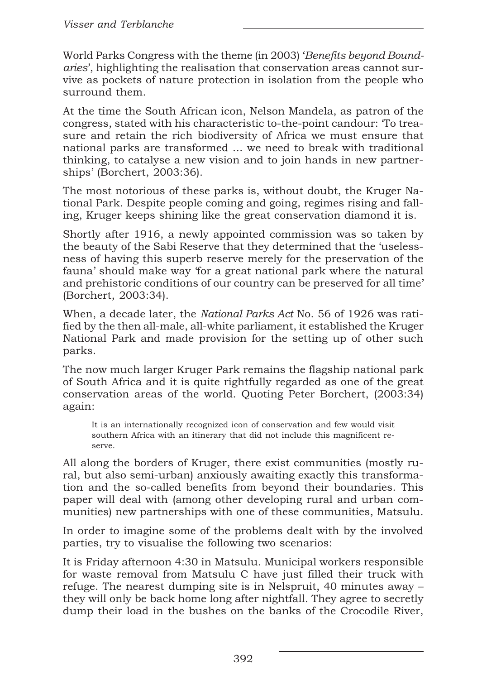World Parks Congress with the theme (in 2003) 'Benefits beyond Boundaries', highlighting the realisation that conservation areas cannot survive as pockets of nature protection in isolation from the people who surround them.

At the time the South African icon, Nelson Mandela, as patron of the congress, stated with his characteristic to-the-point candour: 'To treasure and retain the rich biodiversity of Africa we must ensure that national parks are transformed ... we need to break with traditional thinking, to catalyse a new vision and to join hands in new partnerships' (Borchert, 2003:36).

The most notorious of these parks is, without doubt, the Kruger National Park. Despite people coming and going, regimes rising and falling, Kruger keeps shining like the great conservation diamond it is.

Shortly after 1916, a newly appointed commission was so taken by the beauty of the Sabi Reserve that they determined that the 'uselessness of having this superb reserve merely for the preservation of the fauna' should make way 'for a great national park where the natural and prehistoric conditions of our country can be preserved for all time' (Borchert, 2003:34).

When, a decade later, the *National Parks Act* No. 56 of 1926 was ratified by the then all-male, all-white parliament, it established the Kruger National Park and made provision for the setting up of other such parks.

The now much larger Kruger Park remains the flagship national park of South Africa and it is quite rightfully regarded as one of the great conservation areas of the world. Quoting Peter Borchert, (2003:34) again:

It is an internationally recognized icon of conservation and few would visit southern Africa with an itinerary that did not include this magnificent reserve.

All along the borders of Kruger, there exist communities (mostly rural, but also semi-urban) anxiously awaiting exactly this transformation and the so-called benefits from beyond their boundaries. This paper will deal with (among other developing rural and urban communities) new partnerships with one of these communities, Matsulu.

In order to imagine some of the problems dealt with by the involved parties, try to visualise the following two scenarios:

It is Friday afternoon 4:30 in Matsulu. Municipal workers responsible for waste removal from Matsulu C have just filled their truck with refuge. The nearest dumping site is in Nelspruit, 40 minutes away – they will only be back home long after nightfall. They agree to secretly dump their load in the bushes on the banks of the Crocodile River,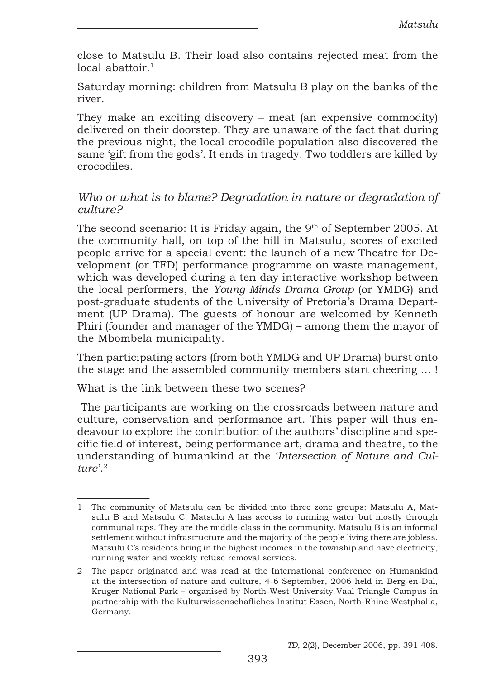close to Matsulu B. Their load also contains rejected meat from the  $local$  abattoir.<sup>1</sup>

Saturday morning: children from Matsulu B play on the banks of the river.

They make an exciting discovery – meat (an expensive commodity) delivered on their doorstep. They are unaware of the fact that during the previous night, the local crocodile population also discovered the same 'gift from the gods'. It ends in tragedy. Two toddlers are killed by crocodiles.

#### Who or what is to blame? Degradation in nature or degradation of culture?

The second scenario: It is Friday again, the  $9<sup>th</sup>$  of September 2005. At the community hall, on top of the hill in Matsulu, scores of excited people arrive for a special event: the launch of a new Theatre for Development (or TFD) performance programme on waste management, which was developed during a ten day interactive workshop between the local performers, the Young Minds Drama Group (or YMDG) and post-graduate students of the University of Pretoria's Drama Department (UP Drama). The guests of honour are welcomed by Kenneth Phiri (founder and manager of the YMDG) – among them the mayor of the Mbombela municipality.

Then participating actors (from both YMDG and UP Drama) burst onto the stage and the assembled community members start cheering ... !

What is the link between these two scenes?

 The participants are working on the crossroads between nature and culture, conservation and performance art. This paper will thus endeavour to explore the contribution of the authors' discipline and specific field of interest, being performance art, drama and theatre, to the understanding of humankind at the 'Intersection of Nature and Culture'. $2$ 

 $\frac{1}{2}$ 1The community of Matsulu can be divided into three zone groups: Matsulu A, Matsulu B and Matsulu C. Matsulu A has access to running water but mostly through communal taps. They are the middle-class in the community. Matsulu B is an informal settlement without infrastructure and the majority of the people living there are jobless. Matsulu C's residents bring in the highest incomes in the township and have electricity, running water and weekly refuse removal services.

<sup>2</sup> The paper originated and was read at the International conference on Humankind at the intersection of nature and culture, 4-6 September, 2006 held in Berg-en-Dal, Kruger National Park – organised by North-West University Vaal Triangle Campus in partnership with the Kulturwissenschafliches Institut Essen, North-Rhine Westphalia, Germany.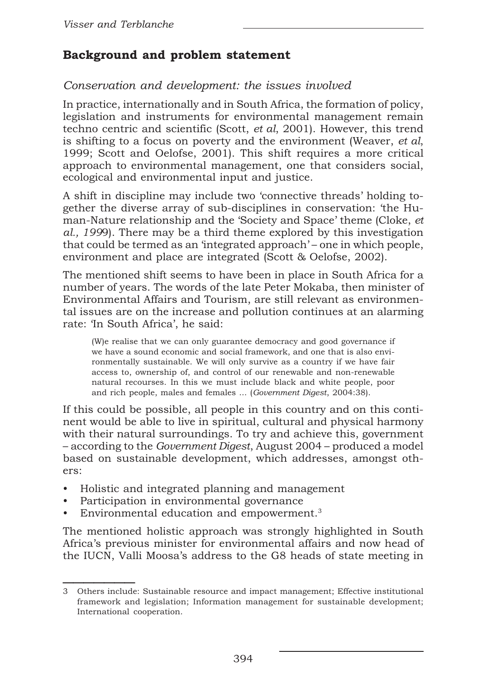# Background and problem statement

### Conservation and development: the issues involved

In practice, internationally and in South Africa, the formation of policy, legislation and instruments for environmental management remain techno centric and scientific (Scott, et al, 2001). However, this trend is shifting to a focus on poverty and the environment (Weaver,  $et al$ , 1999; Scott and Oelofse, 2001). This shift requires a more critical approach to environmental management, one that considers social, ecological and environmental input and justice.

A shift in discipline may include two 'connective threads' holding together the diverse array of sub-disciplines in conservation: 'the Human-Nature relationship and the 'Society and Space' theme (Cloke, et al., 1999). There may be a third theme explored by this investigation that could be termed as an 'integrated approach' – one in which people, environment and place are integrated (Scott & Oelofse, 2002).

The mentioned shift seems to have been in place in South Africa for a number of years. The words of the late Peter Mokaba, then minister of Environmental Affairs and Tourism, are still relevant as environmental issues are on the increase and pollution continues at an alarming rate: 'In South Africa', he said:

(W)e realise that we can only guarantee democracy and good governance if we have a sound economic and social framework, and one that is also environmentally sustainable. We will only survive as a country if we have fair access to, ownership of, and control of our renewable and non-renewable natural recourses. In this we must include black and white people, poor and rich people, males and females ... (Government Digest, 2004:38).

If this could be possible, all people in this country and on this continent would be able to live in spiritual, cultural and physical harmony with their natural surroundings. To try and achieve this, government – according to the Government Digest, August 2004 – produced a model based on sustainable development, which addresses, amongst others:

- Holistic and integrated planning and management
- Participation in environmental governance
- Environmental education and empowerment.<sup>3</sup>

The mentioned holistic approach was strongly highlighted in South Africa's previous minister for environmental affairs and now head of the IUCN, Valli Moosa's address to the G8 heads of state meeting in

 $\frac{1}{2}$ 3 Others include: Sustainable resource and impact management; Effective institutional framework and legislation; Information management for sustainable development; International cooperation.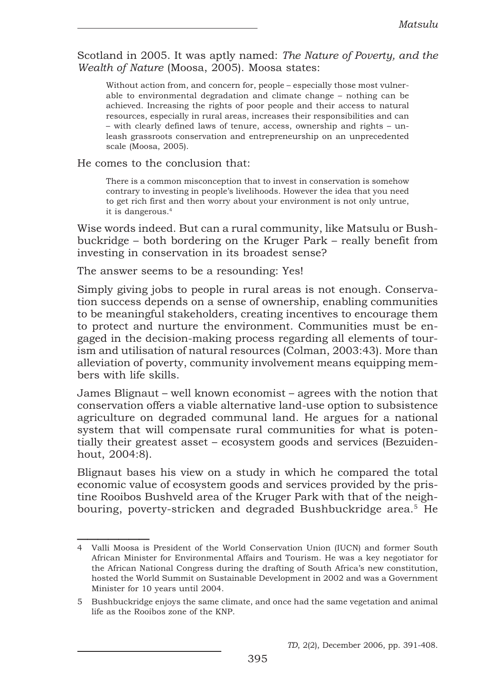Scotland in 2005. It was aptly named: The Nature of Poverty, and the Wealth of Nature (Moosa, 2005). Moosa states:

Without action from, and concern for, people – especially those most vulnerable to environmental degradation and climate change – nothing can be achieved. Increasing the rights of poor people and their access to natural resources, especially in rural areas, increases their responsibilities and can – with clearly defined laws of tenure, access, ownership and rights – unleash grassroots conservation and entrepreneurship on an unprecedented scale (Moosa, 2005).

He comes to the conclusion that:

 $\frac{1}{2}$ 

There is a common misconception that to invest in conservation is somehow contrary to investing in people's livelihoods. However the idea that you need to get rich first and then worry about your environment is not only untrue, it is dangerous.<sup>4</sup>

Wise words indeed. But can a rural community, like Matsulu or Bushbuckridge – both bordering on the Kruger Park – really benefit from investing in conservation in its broadest sense?

The answer seems to be a resounding: Yes!

Simply giving jobs to people in rural areas is not enough. Conservation success depends on a sense of ownership, enabling communities to be meaningful stakeholders, creating incentives to encourage them to protect and nurture the environment. Communities must be engaged in the decision-making process regarding all elements of tourism and utilisation of natural resources (Colman, 2003:43). More than alleviation of poverty, community involvement means equipping members with life skills.

James Blignaut – well known economist – agrees with the notion that conservation offers a viable alternative land-use option to subsistence agriculture on degraded communal land. He argues for a national system that will compensate rural communities for what is potentially their greatest asset – ecosystem goods and services (Bezuidenhout, 2004:8).

Blignaut bases his view on a study in which he compared the total economic value of ecosystem goods and services provided by the pristine Rooibos Bushveld area of the Kruger Park with that of the neighbouring, poverty-stricken and degraded Bushbuckridge area.<sup>5</sup> He

<sup>4</sup> Valli Moosa is President of the World Conservation Union (IUCN) and former South African Minister for Environmental Affairs and Tourism. He was a key negotiator for the African National Congress during the drafting of South Africa's new constitution, hosted the World Summit on Sustainable Development in 2002 and was a Government Minister for 10 years until 2004.

<sup>5</sup> Bushbuckridge enjoys the same climate, and once had the same vegetation and animal life as the Rooibos zone of the KNP.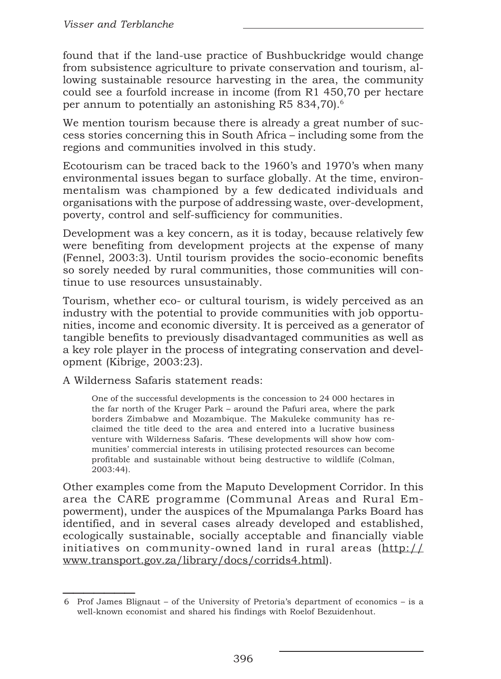found that if the land-use practice of Bushbuckridge would change from subsistence agriculture to private conservation and tourism, allowing sustainable resource harvesting in the area, the community could see a fourfold increase in income (from R1 450,70 per hectare per annum to potentially an astonishing R5 834,70).<sup>6</sup>

We mention tourism because there is already a great number of success stories concerning this in South Africa – including some from the regions and communities involved in this study.

Ecotourism can be traced back to the 1960's and 1970's when many environmental issues began to surface globally. At the time, environmentalism was championed by a few dedicated individuals and organisations with the purpose of addressing waste, over-development, poverty, control and self-sufficiency for communities.

Development was a key concern, as it is today, because relatively few were benefiting from development projects at the expense of many (Fennel, 2003:3). Until tourism provides the socio-economic benefits so sorely needed by rural communities, those communities will continue to use resources unsustainably.

Tourism, whether eco- or cultural tourism, is widely perceived as an industry with the potential to provide communities with job opportunities, income and economic diversity. It is perceived as a generator of tangible benefits to previously disadvantaged communities as well as a key role player in the process of integrating conservation and development (Kibrige, 2003:23).

A Wilderness Safaris statement reads:

One of the successful developments is the concession to 24 000 hectares in the far north of the Kruger Park – around the Pafuri area, where the park borders Zimbabwe and Mozambique. The Makuleke community has reclaimed the title deed to the area and entered into a lucrative business venture with Wilderness Safaris. 'These developments will show how communities' commercial interests in utilising protected resources can become profitable and sustainable without being destructive to wildlife (Colman, 2003:44).

Other examples come from the Maputo Development Corridor. In this area the CARE programme (Communal Areas and Rural Empowerment), under the auspices of the Mpumalanga Parks Board has identified, and in several cases already developed and established, ecologically sustainable, socially acceptable and financially viable initiatives on community-owned land in rural areas (http:// www.transport.gov.za/library/docs/corrids4.html).

 $\frac{1}{2}$ 6 Prof James Blignaut – of the University of Pretoria's department of economics – is a well-known economist and shared his findings with Roelof Bezuidenhout.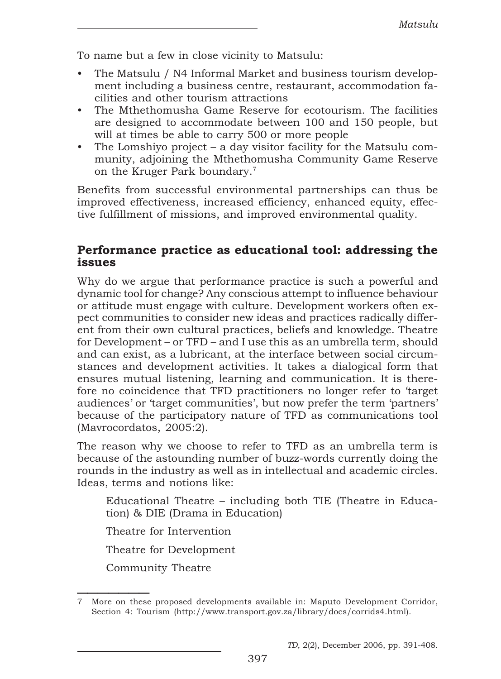To name but a few in close vicinity to Matsulu:

- The Matsulu / N4 Informal Market and business tourism development including a business centre, restaurant, accommodation facilities and other tourism attractions
- The Mthethomusha Game Reserve for ecotourism. The facilities are designed to accommodate between 100 and 150 people, but will at times be able to carry 500 or more people
- The Lomshiyo project a day visitor facility for the Matsulu community, adjoining the Mthethomusha Community Game Reserve on the Kruger Park boundary.<sup>7</sup>

Benefits from successful environmental partnerships can thus be improved effectiveness, increased efficiency, enhanced equity, effective fulfillment of missions, and improved environmental quality.

### Performance practice as educational tool: addressing the issues

Why do we argue that performance practice is such a powerful and dynamic tool for change? Any conscious attempt to influence behaviour or attitude must engage with culture. Development workers often expect communities to consider new ideas and practices radically different from their own cultural practices, beliefs and knowledge. Theatre for Development – or TFD – and I use this as an umbrella term, should and can exist, as a lubricant, at the interface between social circumstances and development activities. It takes a dialogical form that ensures mutual listening, learning and communication. It is therefore no coincidence that TFD practitioners no longer refer to 'target audiences' or 'target communities', but now prefer the term 'partners' because of the participatory nature of TFD as communications tool (Mavrocordatos, 2005:2).

The reason why we choose to refer to TFD as an umbrella term is because of the astounding number of buzz-words currently doing the rounds in the industry as well as in intellectual and academic circles. Ideas, terms and notions like:

Educational Theatre – including both TIE (Theatre in Education) & DIE (Drama in Education)

Theatre for Intervention

Theatre for Development

Community Theatre

 $\frac{1}{2}$ 

<sup>7</sup> More on these proposed developments available in: Maputo Development Corridor, Section 4: Tourism (http://www.transport.gov.za/library/docs/corrids4.html).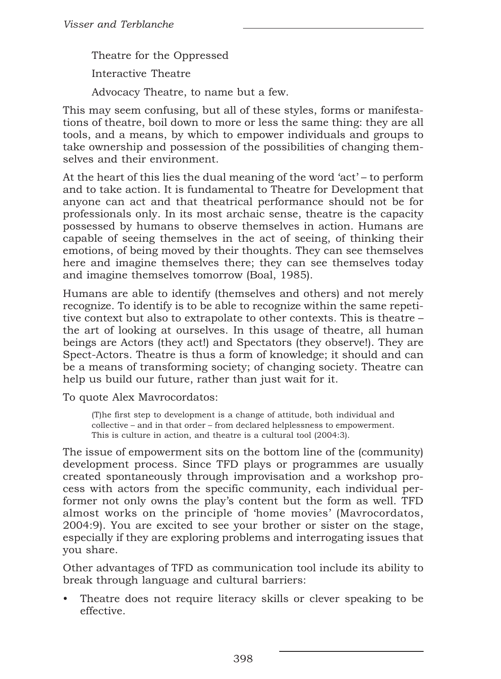Theatre for the Oppressed

Interactive Theatre

Advocacy Theatre, to name but a few.

This may seem confusing, but all of these styles, forms or manifestations of theatre, boil down to more or less the same thing: they are all tools, and a means, by which to empower individuals and groups to take ownership and possession of the possibilities of changing themselves and their environment.

At the heart of this lies the dual meaning of the word 'act' – to perform and to take action. It is fundamental to Theatre for Development that anyone can act and that theatrical performance should not be for professionals only. In its most archaic sense, theatre is the capacity possessed by humans to observe themselves in action. Humans are capable of seeing themselves in the act of seeing, of thinking their emotions, of being moved by their thoughts. They can see themselves here and imagine themselves there; they can see themselves today and imagine themselves tomorrow (Boal, 1985).

Humans are able to identify (themselves and others) and not merely recognize. To identify is to be able to recognize within the same repetitive context but also to extrapolate to other contexts. This is theatre – the art of looking at ourselves. In this usage of theatre, all human beings are Actors (they act!) and Spectators (they observe!). They are Spect-Actors. Theatre is thus a form of knowledge; it should and can be a means of transforming society; of changing society. Theatre can help us build our future, rather than just wait for it.

To quote Alex Mavrocordatos:

(T)he first step to development is a change of attitude, both individual and collective – and in that order – from declared helplessness to empowerment. This is culture in action, and theatre is a cultural tool (2004:3).

The issue of empowerment sits on the bottom line of the (community) development process. Since TFD plays or programmes are usually created spontaneously through improvisation and a workshop process with actors from the specific community, each individual performer not only owns the play's content but the form as well. TFD almost works on the principle of 'home movies' (Mavrocordatos, 2004:9). You are excited to see your brother or sister on the stage, especially if they are exploring problems and interrogating issues that you share.

Other advantages of TFD as communication tool include its ability to break through language and cultural barriers:

• Theatre does not require literacy skills or clever speaking to be effective.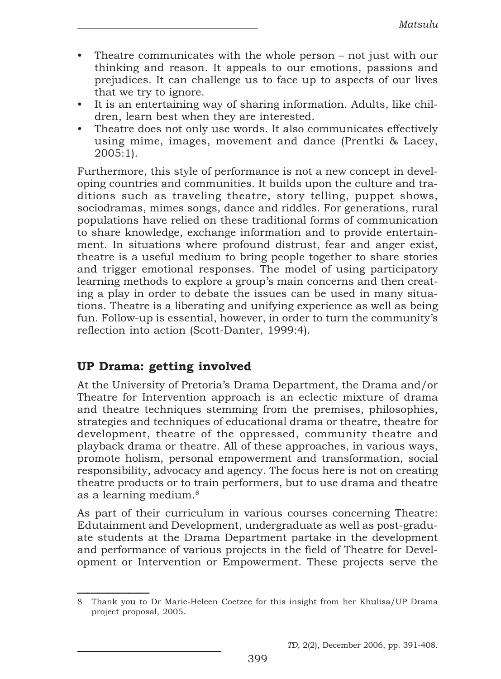- Theatre communicates with the whole person not just with our thinking and reason. It appeals to our emotions, passions and prejudices. It can challenge us to face up to aspects of our lives that we try to ignore.
- It is an entertaining way of sharing information. Adults, like children, learn best when they are interested.
- Theatre does not only use words. It also communicates effectively using mime, images, movement and dance (Prentki & Lacey, 2005:1).

Furthermore, this style of performance is not a new concept in developing countries and communities. It builds upon the culture and traditions such as traveling theatre, story telling, puppet shows, sociodramas, mimes songs, dance and riddles. For generations, rural populations have relied on these traditional forms of communication to share knowledge, exchange information and to provide entertainment. In situations where profound distrust, fear and anger exist, theatre is a useful medium to bring people together to share stories and trigger emotional responses. The model of using participatory learning methods to explore a group's main concerns and then creating a play in order to debate the issues can be used in many situations. Theatre is a liberating and unifying experience as well as being fun. Follow-up is essential, however, in order to turn the community's reflection into action (Scott-Danter, 1999:4).

# UP Drama: getting involved

At the University of Pretoria's Drama Department, the Drama and/or Theatre for Intervention approach is an eclectic mixture of drama and theatre techniques stemming from the premises, philosophies, strategies and techniques of educational drama or theatre, theatre for development, theatre of the oppressed, community theatre and playback drama or theatre. All of these approaches, in various ways, promote holism, personal empowerment and transformation, social responsibility, advocacy and agency. The focus here is not on creating theatre products or to train performers, but to use drama and theatre as a learning medium.<sup>8</sup>

As part of their curriculum in various courses concerning Theatre: Edutainment and Development, undergraduate as well as post-graduate students at the Drama Department partake in the development and performance of various projects in the field of Theatre for Development or Intervention or Empowerment. These projects serve the

 $\frac{1}{2}$ 8 Thank you to Dr Marie-Heleen Coetzee for this insight from her Khulisa/UP Drama project proposal, 2005.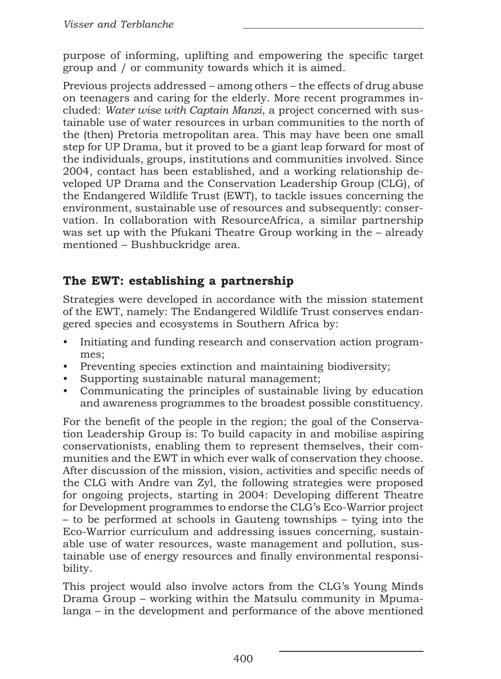purpose of informing, uplifting and empowering the specific target group and / or community towards which it is aimed.

Previous projects addressed – among others – the effects of drug abuse on teenagers and caring for the elderly. More recent programmes included: *Water wise with Captain Manzi*, a project concerned with sustainable use of water resources in urban communities to the north of the (then) Pretoria metropolitan area. This may have been one small step for UP Drama, but it proved to be a giant leap forward for most of the individuals, groups, institutions and communities involved. Since 2004, contact has been established, and a working relationship developed UP Drama and the Conservation Leadership Group (CLG), of the Endangered Wildlife Trust (EWT), to tackle issues concerning the environment, sustainable use of resources and subsequently: conservation. In collaboration with ResourceAfrica, a similar partnership was set up with the Pfukani Theatre Group working in the – already mentioned – Bushbuckridge area.

# The EWT: establishing a partnership

Strategies were developed in accordance with the mission statement of the EWT, namely: The Endangered Wildlife Trust conserves endangered species and ecosystems in Southern Africa by:

- Initiating and funding research and conservation action programmes;
- Preventing species extinction and maintaining biodiversity;
- Supporting sustainable natural management;
- Communicating the principles of sustainable living by education and awareness programmes to the broadest possible constituency.

For the benefit of the people in the region; the goal of the Conservation Leadership Group is: To build capacity in and mobilise aspiring conservationists, enabling them to represent themselves, their communities and the EWT in which ever walk of conservation they choose. After discussion of the mission, vision, activities and specific needs of the CLG with Andre van Zyl, the following strategies were proposed for ongoing projects, starting in 2004: Developing different Theatre for Development programmes to endorse the CLG's Eco-Warrior project – to be performed at schools in Gauteng townships – tying into the Eco-Warrior curriculum and addressing issues concerning, sustainable use of water resources, waste management and pollution, sustainable use of energy resources and finally environmental responsibility.

This project would also involve actors from the CLG's Young Minds Drama Group – working within the Matsulu community in Mpumalanga – in the development and performance of the above mentioned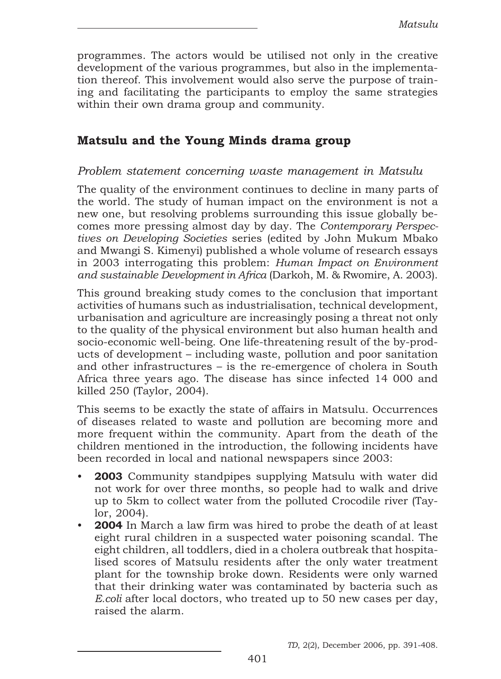programmes. The actors would be utilised not only in the creative development of the various programmes, but also in the implementation thereof. This involvement would also serve the purpose of training and facilitating the participants to employ the same strategies within their own drama group and community.

### Matsulu and the Young Minds drama group

### Problem statement concerning waste management in Matsulu

The quality of the environment continues to decline in many parts of the world. The study of human impact on the environment is not a new one, but resolving problems surrounding this issue globally becomes more pressing almost day by day. The Contemporary Perspectives on Developing Societies series (edited by John Mukum Mbako and Mwangi S. Kimenyi) published a whole volume of research essays in 2003 interrogating this problem: Human Impact on Environment and sustainable Development in Africa (Darkoh, M. & Rwomire, A. 2003).

This ground breaking study comes to the conclusion that important activities of humans such as industrialisation, technical development, urbanisation and agriculture are increasingly posing a threat not only to the quality of the physical environment but also human health and socio-economic well-being. One life-threatening result of the by-products of development – including waste, pollution and poor sanitation and other infrastructures – is the re-emergence of cholera in South Africa three years ago. The disease has since infected 14 000 and killed 250 (Taylor, 2004).

This seems to be exactly the state of affairs in Matsulu. Occurrences of diseases related to waste and pollution are becoming more and more frequent within the community. Apart from the death of the children mentioned in the introduction, the following incidents have been recorded in local and national newspapers since 2003:

- 2003 Community standpipes supplying Matsulu with water did not work for over three months, so people had to walk and drive up to 5km to collect water from the polluted Crocodile river (Taylor, 2004).
- **2004** In March a law firm was hired to probe the death of at least eight rural children in a suspected water poisoning scandal. The eight children, all toddlers, died in a cholera outbreak that hospitalised scores of Matsulu residents after the only water treatment plant for the township broke down. Residents were only warned that their drinking water was contaminated by bacteria such as E.coli after local doctors, who treated up to 50 new cases per day, raised the alarm.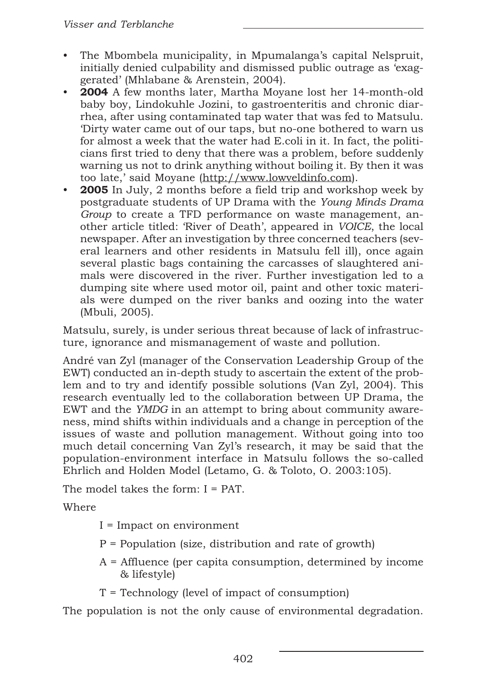- The Mbombela municipality, in Mpumalanga's capital Nelspruit, initially denied culpability and dismissed public outrage as 'exaggerated' (Mhlabane & Arenstein, 2004).
- 2004 A few months later, Martha Movane lost her 14-month-old baby boy, Lindokuhle Jozini, to gastroenteritis and chronic diarrhea, after using contaminated tap water that was fed to Matsulu. 'Dirty water came out of our taps, but no-one bothered to warn us for almost a week that the water had E.coli in it. In fact, the politicians first tried to deny that there was a problem, before suddenly warning us not to drink anything without boiling it. By then it was too late,' said Moyane (http://www.lowveldinfo.com).
- 2005 In July, 2 months before a field trip and workshop week by postgraduate students of UP Drama with the Young Minds Drama Group to create a TFD performance on waste management, another article titled: 'River of Death', appeared in VOICE, the local newspaper. After an investigation by three concerned teachers (several learners and other residents in Matsulu fell ill), once again several plastic bags containing the carcasses of slaughtered animals were discovered in the river. Further investigation led to a dumping site where used motor oil, paint and other toxic materials were dumped on the river banks and oozing into the water (Mbuli, 2005).

Matsulu, surely, is under serious threat because of lack of infrastructure, ignorance and mismanagement of waste and pollution.

André van Zyl (manager of the Conservation Leadership Group of the EWT) conducted an in-depth study to ascertain the extent of the problem and to try and identify possible solutions (Van Zyl, 2004). This research eventually led to the collaboration between UP Drama, the EWT and the YMDG in an attempt to bring about community awareness, mind shifts within individuals and a change in perception of the issues of waste and pollution management. Without going into too much detail concerning Van Zyl's research, it may be said that the population-environment interface in Matsulu follows the so-called Ehrlich and Holden Model (Letamo, G. & Toloto, O. 2003:105).

The model takes the form: I = PAT.

Where

- I = Impact on environment
- P = Population (size, distribution and rate of growth)
- A = Affluence (per capita consumption, determined by income & lifestyle)
- T = Technology (level of impact of consumption)

The population is not the only cause of environmental degradation.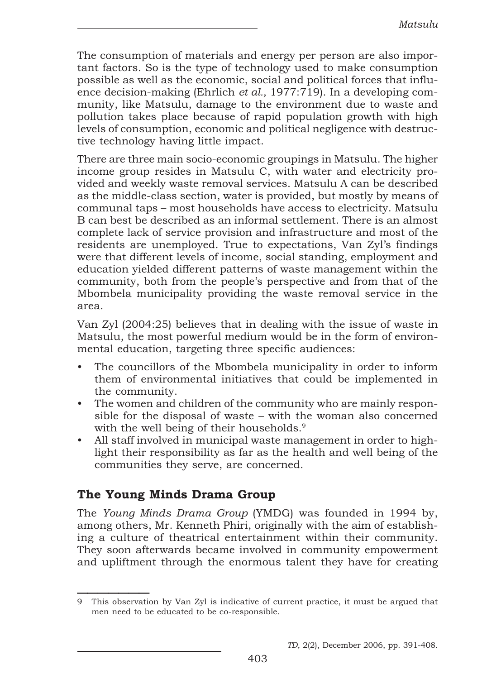The consumption of materials and energy per person are also important factors. So is the type of technology used to make consumption possible as well as the economic, social and political forces that influence decision-making (Ehrlich et al., 1977:719). In a developing community, like Matsulu, damage to the environment due to waste and pollution takes place because of rapid population growth with high levels of consumption, economic and political negligence with destructive technology having little impact.

There are three main socio-economic groupings in Matsulu. The higher income group resides in Matsulu C, with water and electricity provided and weekly waste removal services. Matsulu A can be described as the middle-class section, water is provided, but mostly by means of communal taps – most households have access to electricity. Matsulu B can best be described as an informal settlement. There is an almost complete lack of service provision and infrastructure and most of the residents are unemployed. True to expectations, Van Zyl's findings were that different levels of income, social standing, employment and education yielded different patterns of waste management within the community, both from the people's perspective and from that of the Mbombela municipality providing the waste removal service in the area.

Van Zyl (2004:25) believes that in dealing with the issue of waste in Matsulu, the most powerful medium would be in the form of environmental education, targeting three specific audiences:

- The councillors of the Mbombela municipality in order to inform them of environmental initiatives that could be implemented in the community.
- The women and children of the community who are mainly responsible for the disposal of waste – with the woman also concerned with the well being of their households.<sup>9</sup>
- All staff involved in municipal waste management in order to highlight their responsibility as far as the health and well being of the communities they serve, are concerned.

# The Young Minds Drama Group

The Young Minds Drama Group (YMDG) was founded in 1994 by, among others, Mr. Kenneth Phiri, originally with the aim of establishing a culture of theatrical entertainment within their community. They soon afterwards became involved in community empowerment and upliftment through the enormous talent they have for creating

 $\frac{1}{2}$ 9 This observation by Van Zyl is indicative of current practice, it must be argued that men need to be educated to be co-responsible.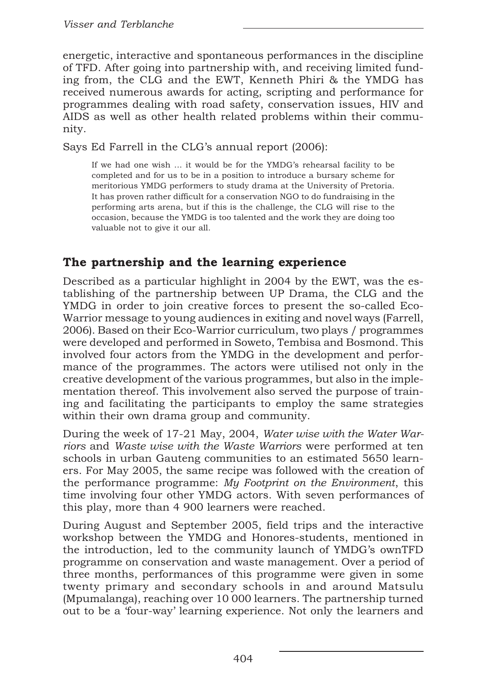energetic, interactive and spontaneous performances in the discipline of TFD. After going into partnership with, and receiving limited funding from, the CLG and the EWT, Kenneth Phiri & the YMDG has received numerous awards for acting, scripting and performance for programmes dealing with road safety, conservation issues, HIV and AIDS as well as other health related problems within their community.

Says Ed Farrell in the CLG's annual report (2006):

If we had one wish ... it would be for the YMDG's rehearsal facility to be completed and for us to be in a position to introduce a bursary scheme for meritorious YMDG performers to study drama at the University of Pretoria. It has proven rather difficult for a conservation NGO to do fundraising in the performing arts arena, but if this is the challenge, the CLG will rise to the occasion, because the YMDG is too talented and the work they are doing too valuable not to give it our all.

### The partnership and the learning experience

Described as a particular highlight in 2004 by the EWT, was the establishing of the partnership between UP Drama, the CLG and the YMDG in order to join creative forces to present the so-called Eco-Warrior message to young audiences in exiting and novel ways (Farrell, 2006). Based on their Eco-Warrior curriculum, two plays / programmes were developed and performed in Soweto, Tembisa and Bosmond. This involved four actors from the YMDG in the development and performance of the programmes. The actors were utilised not only in the creative development of the various programmes, but also in the implementation thereof. This involvement also served the purpose of training and facilitating the participants to employ the same strategies within their own drama group and community.

During the week of 17-21 May, 2004, Water wise with the Water Warriors and Waste wise with the Waste Warriors were performed at ten schools in urban Gauteng communities to an estimated 5650 learners. For May 2005, the same recipe was followed with the creation of the performance programme: My Footprint on the Environment, this time involving four other YMDG actors. With seven performances of this play, more than 4 900 learners were reached.

During August and September 2005, field trips and the interactive workshop between the YMDG and Honores-students, mentioned in the introduction, led to the community launch of YMDG's ownTFD programme on conservation and waste management. Over a period of three months, performances of this programme were given in some twenty primary and secondary schools in and around Matsulu (Mpumalanga), reaching over 10 000 learners. The partnership turned out to be a 'four-way' learning experience. Not only the learners and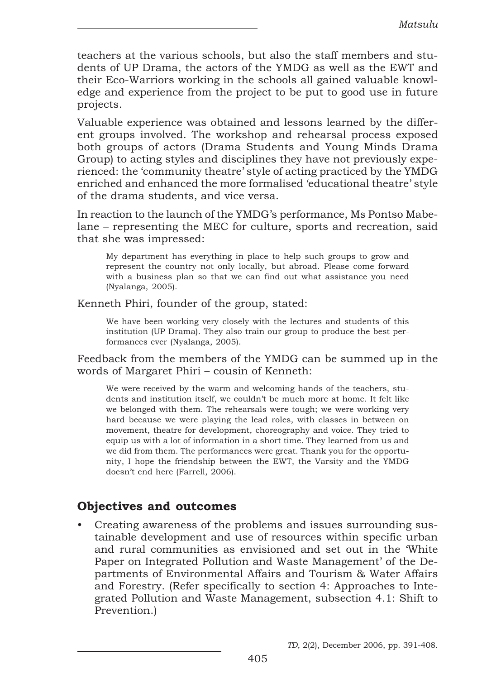teachers at the various schools, but also the staff members and students of UP Drama, the actors of the YMDG as well as the EWT and their Eco-Warriors working in the schools all gained valuable knowledge and experience from the project to be put to good use in future projects.

Valuable experience was obtained and lessons learned by the different groups involved. The workshop and rehearsal process exposed both groups of actors (Drama Students and Young Minds Drama Group) to acting styles and disciplines they have not previously experienced: the 'community theatre' style of acting practiced by the YMDG enriched and enhanced the more formalised 'educational theatre' style of the drama students, and vice versa.

In reaction to the launch of the YMDG's performance, Ms Pontso Mabelane – representing the MEC for culture, sports and recreation, said that she was impressed:

My department has everything in place to help such groups to grow and represent the country not only locally, but abroad. Please come forward with a business plan so that we can find out what assistance you need (Nyalanga, 2005).

Kenneth Phiri, founder of the group, stated:

We have been working very closely with the lectures and students of this institution (UP Drama). They also train our group to produce the best performances ever (Nyalanga, 2005).

Feedback from the members of the YMDG can be summed up in the words of Margaret Phiri – cousin of Kenneth:

We were received by the warm and welcoming hands of the teachers, students and institution itself, we couldn't be much more at home. It felt like we belonged with them. The rehearsals were tough; we were working very hard because we were playing the lead roles, with classes in between on movement, theatre for development, choreography and voice. They tried to equip us with a lot of information in a short time. They learned from us and we did from them. The performances were great. Thank you for the opportunity, I hope the friendship between the EWT, the Varsity and the YMDG doesn't end here (Farrell, 2006).

### Objectives and outcomes

• Creating awareness of the problems and issues surrounding sustainable development and use of resources within specific urban and rural communities as envisioned and set out in the 'White Paper on Integrated Pollution and Waste Management' of the Departments of Environmental Affairs and Tourism & Water Affairs and Forestry. (Refer specifically to section 4: Approaches to Integrated Pollution and Waste Management, subsection 4.1: Shift to Prevention.)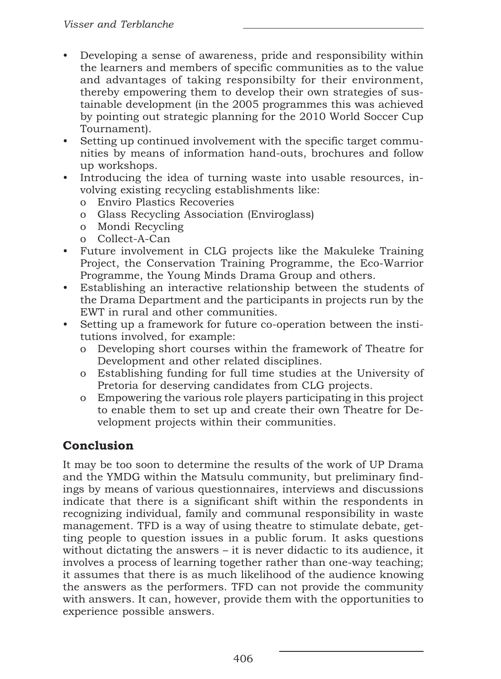- Developing a sense of awareness, pride and responsibility within the learners and members of specific communities as to the value and advantages of taking responsibilty for their environment, thereby empowering them to develop their own strategies of sustainable development (in the 2005 programmes this was achieved by pointing out strategic planning for the 2010 World Soccer Cup Tournament).
- Setting up continued involvement with the specific target communities by means of information hand-outs, brochures and follow up workshops.
- Introducing the idea of turning waste into usable resources, involving existing recycling establishments like:
	- o Enviro Plastics Recoveries
	- o Glass Recycling Association (Enviroglass)
	- o Mondi Recycling
	- o Collect-A-Can
- Future involvement in CLG projects like the Makuleke Training Project, the Conservation Training Programme, the Eco-Warrior Programme, the Young Minds Drama Group and others.
- Establishing an interactive relationship between the students of the Drama Department and the participants in projects run by the EWT in rural and other communities.
- Setting up a framework for future co-operation between the institutions involved, for example:
	- o Developing short courses within the framework of Theatre for Development and other related disciplines.
	- o Establishing funding for full time studies at the University of Pretoria for deserving candidates from CLG projects.
	- o Empowering the various role players participating in this project to enable them to set up and create their own Theatre for Development projects within their communities.

# Conclusion

It may be too soon to determine the results of the work of UP Drama and the YMDG within the Matsulu community, but preliminary findings by means of various questionnaires, interviews and discussions indicate that there is a significant shift within the respondents in recognizing individual, family and communal responsibility in waste management. TFD is a way of using theatre to stimulate debate, getting people to question issues in a public forum. It asks questions without dictating the answers – it is never didactic to its audience, it involves a process of learning together rather than one-way teaching; it assumes that there is as much likelihood of the audience knowing the answers as the performers. TFD can not provide the community with answers. It can, however, provide them with the opportunities to experience possible answers.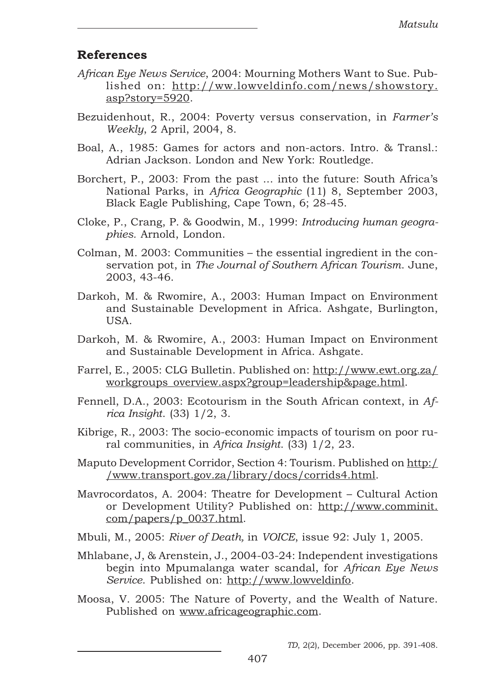### References

- African Eye News Service, 2004: Mourning Mothers Want to Sue. Published on: http://ww.lowveldinfo.com/news/showstory. asp?story=5920.
- Bezuidenhout, R., 2004: Poverty versus conservation, in Farmer's Weekly, 2 April, 2004, 8.
- Boal, A., 1985: Games for actors and non-actors. Intro. & Transl.: Adrian Jackson. London and New York: Routledge.
- Borchert, P., 2003: From the past ... into the future: South Africa's National Parks, in Africa Geographic (11) 8, September 2003, Black Eagle Publishing, Cape Town, 6; 28-45.
- Cloke, P., Crang, P. & Goodwin, M., 1999: Introducing human geographies. Arnold, London.
- Colman, M. 2003: Communities the essential ingredient in the conservation pot, in The Journal of Southern African Tourism. June, 2003, 43-46.
- Darkoh, M. & Rwomire, A., 2003: Human Impact on Environment and Sustainable Development in Africa. Ashgate, Burlington, USA.
- Darkoh, M. & Rwomire, A., 2003: Human Impact on Environment and Sustainable Development in Africa. Ashgate.
- Farrel, E., 2005: CLG Bulletin. Published on: http://www.ewt.org.za/ workgroups\_overview.aspx?group=leadership&page.html.
- Fennell, D.A., 2003: Ecotourism in the South African context, in Africa Insight. (33) 1/2, 3.
- Kibrige, R., 2003: The socio-economic impacts of tourism on poor rural communities, in Africa Insight. (33) 1/2, 23.
- Maputo Development Corridor, Section 4: Tourism. Published on http:/ /www.transport.gov.za/library/docs/corrids4.html.
- Mavrocordatos, A. 2004: Theatre for Development Cultural Action or Development Utility? Published on: http://www.comminit. com/papers/p\_0037.html.
- Mbuli, M., 2005: River of Death, in VOICE, issue 92: July 1, 2005.
- Mhlabane, J, & Arenstein, J., 2004-03-24: Independent investigations begin into Mpumalanga water scandal, for African Eye News Service. Published on: http://www.lowveldinfo.
- Moosa, V. 2005: The Nature of Poverty, and the Wealth of Nature. Published on www.africageographic.com.